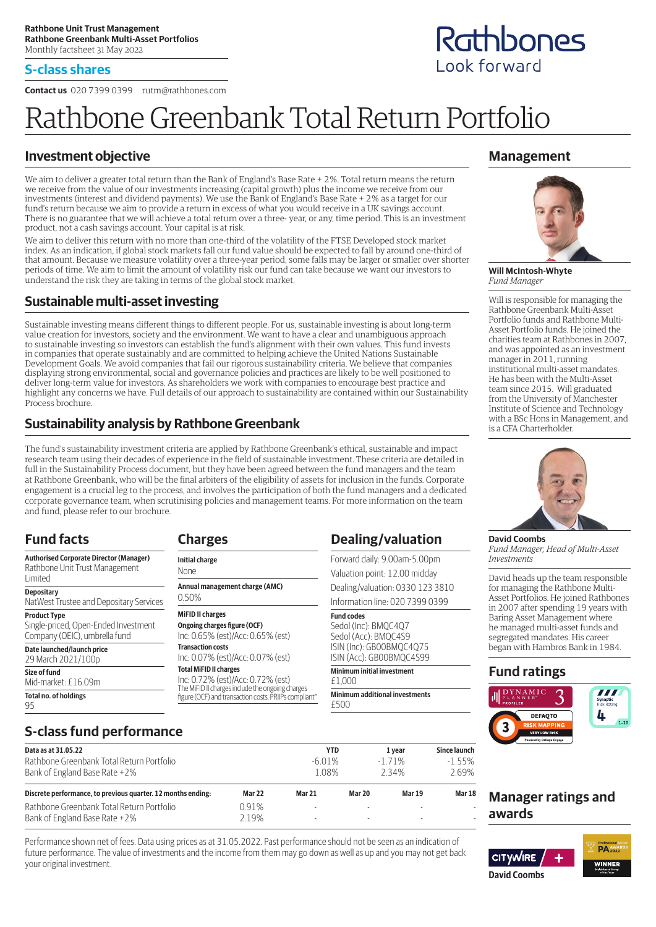#### **S-class shares**

**Contact us** 020 7399 0399 rutm@rathbones.com

# Rathbone Greenbank Total Return Portfolio

### **Investment objective**

We aim to deliver a greater total return than the Bank of England's Base Rate + 2%. Total return means the return we receive from the value of our investments increasing (capital growth) plus the income we receive from our investments (interest and dividend payments). We use the Bank of England's Base Rate + 2% as a target for our fund's return because we aim to provide a return in excess of what you would receive in a UK savings account. There is no guarantee that we will achieve a total return over a three- year, or any, time period. This is an investment product, not a cash savings account. Your capital is at risk.

We aim to deliver this return with no more than one-third of the volatility of the FTSE Developed stock market index. As an indication, if global stock markets fall our fund value should be expected to fall by around one-third of that amount. Because we measure volatility over a three-year period, some falls may be larger or smaller over shorter periods of time. We aim to limit the amount of volatility risk our fund can take because we want our investors to understand the risk they are taking in terms of the global stock market.

#### **Sustainable multi-asset investing**

Sustainable investing means different things to different people. For us, sustainable investing is about long-term value creation for investors, society and the environment. We want to have a clear and unambiguous approach to sustainable investing so investors can establish the fund's alignment with their own values. This fund invests in companies that operate sustainably and are committed to helping achieve the United Nations Sustainable Development Goals. We avoid companies that fail our rigorous sustainability criteria. We believe that companies displaying strong environmental, social and governance policies and practices are likely to be well positioned to deliver long-term value for investors. As shareholders we work with companies to encourage best practice and highlight any concerns we have. Full details of our approach to sustainability are contained within our Sustainability Process brochure.

### **Sustainability analysis by Rathbone Greenbank**

The fund's sustainability investment criteria are applied by Rathbone Greenbank's ethical, sustainable and impact research team using their decades of experience in the field of sustainable investment. These criteria are detailed in full in the Sustainability Process document, but they have been agreed between the fund managers and the team at Rathbone Greenbank, who will be the final arbiters of the eligibility of assets for inclusion in the funds. Corporate engagement is a crucial leg to the process, and involves the participation of both the fund managers and a dedicated corporate governance team, when scrutinising policies and management teams. For more information on the team and fund, please refer to our brochure.

### **Fund facts**

**Authorised Corporate Director (Manager)** Rathbone Unit Trust Management Limited

**Depositary** NatWest Trustee and Depositary Services

**Product Type**

Single-priced, Open-Ended Investment Company (OEIC), umbrella fund

**S-class fund performance**

**Date launched/launch price** 29 March 2021/100p

**Size of fund**

Mid-market: £16.09m **Total no. of holdings**

95

#### **Initial charge** None

**Charges**

**Annual management charge (AMC)**

**MiFID II charges Transaction costs**

**Total MiFID II charges**

The MiFID II charges include the ongoing charges figure (OCF) and transaction costs. PRIIPs compliant^

| Dealing/valuation                |  |  |
|----------------------------------|--|--|
| Forward daily: 9.00am-5.00pm     |  |  |
| Valuation point: 12.00 midday    |  |  |
| Dealing/valuation: 0330 123 3810 |  |  |
| Information line: 020 7399 0399  |  |  |
| مماء مم امست                     |  |  |

Sedol (Inc): BMQC4Q7 Sedol (Acc): BMQC4S9

£1,000

**Minimum additional investments**

**Management**



**Will McIntosh-Whyte** *Fund Manager*

Will is responsible for managing the Rathbone Greenbank Multi-Asset Portfolio funds and Rathbone Multi-Asset Portfolio funds. He joined the charities team at Rathbones in 2007, and was appointed as an investment manager in 2011, running institutional multi-asset mandates. He has been with the Multi-Asset team since 2015. Will graduated from the University of Manchester Institute of Science and Technology with a BSc Hons in Management, and is a CFA Charterholder.



**David Coombs** *Fund Manager, Head of Multi-Asset Investments*

David heads up the team responsible for managing the Rathbone Multi-Asset Portfolios. He joined Rathbones in 2007 after spending 19 years with Baring Asset Management where he managed multi-asset funds and segregated mandates. His career began with Hambros Bank in 1984.

#### **Fund ratings**



#### **Data as at 31.05.22 YTD 1 year Since launch** Rathbone Greenbank Total Return Portfolio -1.55% -6.01% -1.71% -1.55%

| Bank of England Base Rate +2%                                | 1.08%         |               | 234%   | 2.69%         |               |
|--------------------------------------------------------------|---------------|---------------|--------|---------------|---------------|
| Discrete performance, to previous quarter. 12 months ending: | <b>Mar 22</b> | <b>Mar 21</b> | Mar 20 | <b>Mar 19</b> | <b>Mar 18</b> |
| Rathbone Greenbank Total Return Portfolio                    | በ 91%         | <b>.</b>      |        | $\sim$        |               |
| Bank of England Base Rate +2%                                | ን 19%         | -             |        | -             |               |

Performance shown net of fees. Data using prices as at 31.05.2022. Past performance should not be seen as an indication of future performance. The value of investments and the income from them may go down as well as up and you may not get back your original investment.

**Manager ratings and awards**



# Rathbones Look forward

0.50%

**Ongoing charges figure (OCF)** Inc: 0.65% (est)/Acc: 0.65% (est) Inc: 0.07% (est)/Acc: 0.07% (est)

Inc: 0.72% (est)/Acc: 0.72% (est)

**Fund codes**

ISIN (Inc): GB00BMQC4Q75 ISIN (Acc): GB00BMQC4S99

**Minimum initial investment**

£500